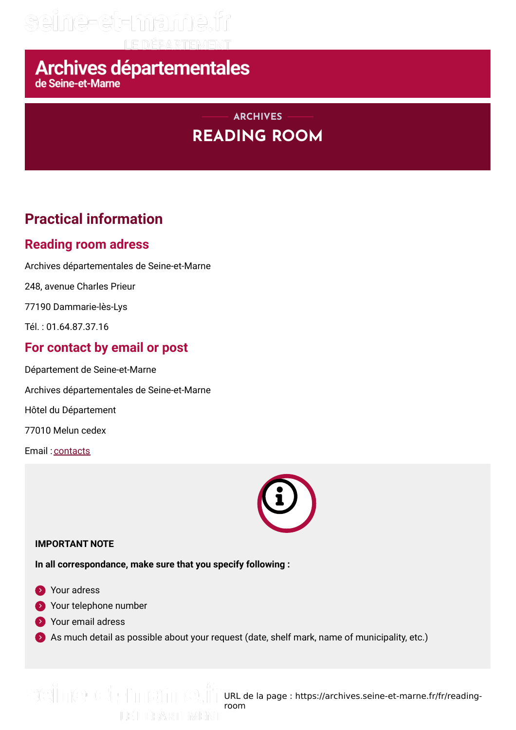# seine-et-mame.fr

# Archives départementales

### **READING ROOM ARCHIVES**

## **Practical information**

#### **Reading room adress**

Archives départementales de Seine-et-Marne

248, avenue Charles Prieur

77190 Dammarie-lès-Lys

Tél. : 01.64.87.37.16

#### **For contact by email or post**

Département de Seine-et-Marne Archives départementales de Seine-et-Marne Hôtel du Département 77010 Melun cedex

Email : [contacts](https://archives.seine-et-marne.fr/fr/contacts)



#### **IMPORTANT NOTE**

**In all correspondance, make sure that you specify following :**

- **S** Your adress
- Your telephone number
- **2** Your email adress
- As much detail as possible about your request (date, shelf mark, name of municipality, etc.)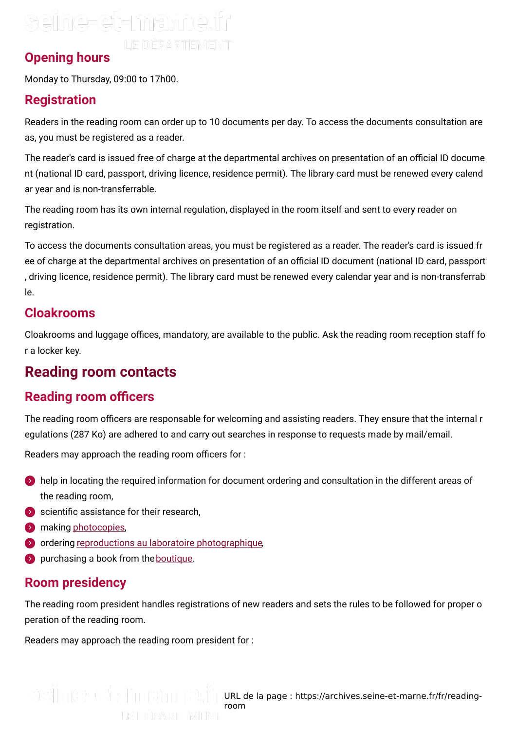## seine-et-mame.fr - LE DÉPARTEMENT

#### **Opening hours**

Monday to Thursday, 09:00 to 17h00.

#### **Registration**

Readers in the reading room can order up to 10 documents per day. To access the documents consultation are as, you must be registered as a reader.

The reader's card is issued free of charge at the departmental archives on presentation of an official ID docume nt (national ID card, passport, driving licence, residence permit). The library card must be renewed every calend ar year and is non-transferrable.

The reading room has its own internal regulation, displayed in the room itself and sent to every reader on registration.

To access the documents consultation areas, you must be registered as a reader. The reader's card is issued fr ee of charge at the departmental archives on presentation of an official ID document (national ID card, passport , driving licence, residence permit). The library card must be renewed every calendar year and is non-transferrab le.

#### **Cloakrooms**

Cloakrooms and luggage offices, mandatory, are available to the public. Ask the reading room reception staff fo r a locker key.

#### **Reading room contacts**

#### **Reading room officers**

The reading room officers are responsable for welcoming and assisting readers. They ensure that the internal r egulations (287 Ko) are adhered to and carry out searches in response to requests made by mail/email.

Readers may approach the reading room officers for :

- help in locating the required information for document ordering and consultation in the different areas of the reading room,
- $\bullet$  scientific assistance for their research.
- **2** making [photocopies](https://archives.seine-et-marne.fr/fr/la-reproduction-de-documents),
- ordering reproductions au laboratoire [photographique,](https://archives.seine-et-marne.fr/fr/la-reproduction-de-documents)
- **purchasing a book from the [boutique](https://archives.seine-et-marne.fr/fr/la-boutique).**

#### **Room presidency**

The reading room president handles registrations of new readers and sets the rules to be followed for proper o peration of the reading room.

room

Readers may approach the reading room president for :

LE DÉPARTEMENT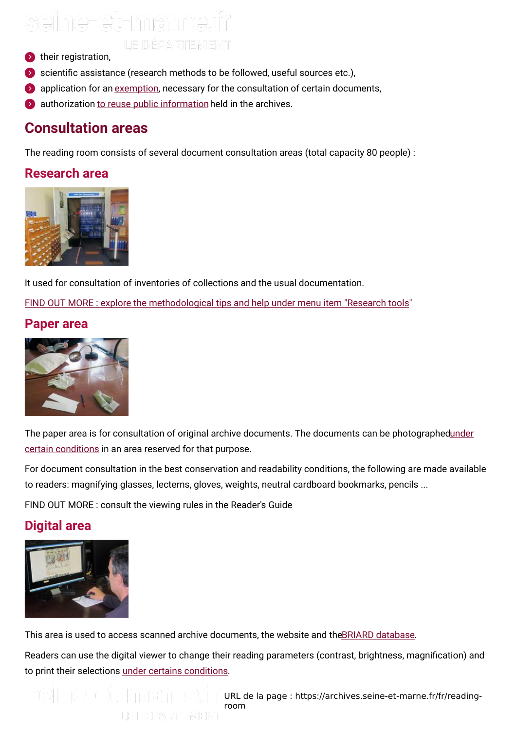## seine-et-mame.fi LE DÉPARTEMENT

- their registration,
- $\bullet$  scientific assistance (research methods to be followed, useful sources etc.),
- **EX** application for an [exemption](https://archives.seine-et-marne.fr/fr/regles-de-communicabilite-des-documents-darchives), necessary for the consultation of certain documents,
- **authorization** to reuse public [information](https://archives.seine-et-marne.fr/fr/reutilisation-des-informations-publiques) held in the archives.

#### **Consultation areas**

The reading room consists of several document consultation areas (total capacity 80 people) :

#### **Research area**



It used for consultation of inventories of collections and the usual documentation.

FIND OUT MORE : explore the [methodological](https://archives.seine-et-marne.fr/fr/premiere-recherche) tips and help under menu item "Research tools"

#### **Paper area**



The paper area is for consultation of original archive documents. The documents can be [photographedunder](https://archives.seine-et-marne.fr/fr/la-reproduction-de-documents) certain conditions in an area reserved for that purpose.

For document consultation in the best conservation and readability conditions, the following are made available to readers: magnifying glasses, lecterns, gloves, weights, neutral cardboard bookmarks, pencils ...

FIND OUT MORE : consult the viewing rules in the Reader's Guide

LE DÉPARTEMENT

#### **Digital area**



This area is used to access scanned archive documents, the website and the BRIARD [database](https://archives.seine-et-marne.fr/fr/base-de-donnees-briard).

Readers can use the digital viewer to change their reading parameters (contrast, brightness, magnification) and to print their selections under certains [conditions](https://archives.seine-et-marne.fr/fr/la-reproduction-de-documents).

Seline-et-marne.fr/fr/readingroom